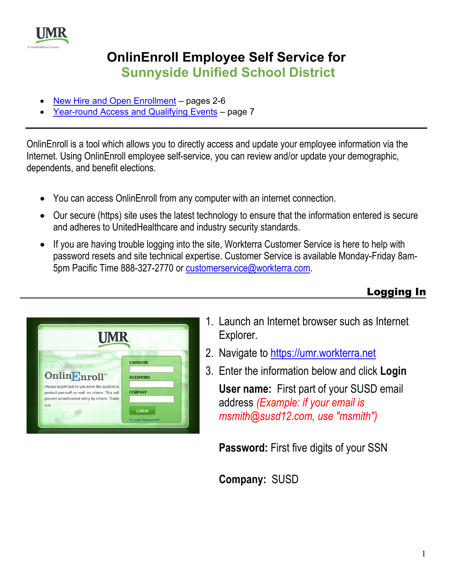<span id="page-0-0"></span>

# **OnlinEnroll Employee Self Service for Sunnyside Unified School District**

- [New Hire and Open Enrollment](#page-0-0) pages 2-6
- [Year-round Access and Qualifying Events](#page-7-0) page 7

OnlinEnroll is a tool which allows you to directly access and update your employee information via the Internet. Using OnlinEnroll employee self-service, you can review and/or update your demographic, dependents, and benefit elections.

- You can access OnlinEnroll from any computer with an internet connection.
- Our secure (https) site uses the latest technology to ensure that the information entered is secure and adheres to UnitedHealthcare and industry security standards.
- If you are having trouble logging into the site, Workterra Customer Service is here to help with password resets and site technical expertise. Customer Service is available Monday-Friday 8am-5pm Pacific Time 888-327-2770 or [customerservice@workterra.com.](mailto:customerservice@workterra.com)

## Logging In



- 1. Launch an Internet browser such as Internet Explorer.
- 2. Navigate to [https://umr.workterra.net](https://umr.workterra.net/)
- 3. Enter the information below and click **Login**

**User name:** First part of your SUSD email address *(Example: if your email is msmith@susd12.com, use "msmith")*

**Password:** First five digits of your SSN

**Company:** SUSD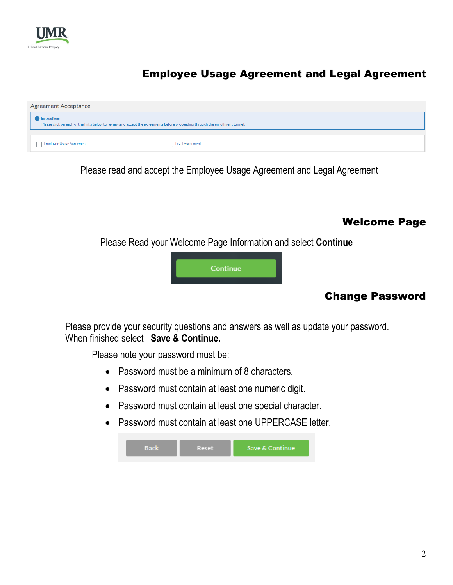

### Employee Usage Agreement and Legal Agreement

| <b>Agreement Acceptance</b>                                                                                                                           |                 |  |  |
|-------------------------------------------------------------------------------------------------------------------------------------------------------|-----------------|--|--|
| <b>f</b> Instructions<br>Please click on each of the links below to review and accept the agreements before proceeding through the enrollment tunnel. |                 |  |  |
| <b>Employee Usage Agreement</b>                                                                                                                       | Legal Agreement |  |  |

Please read and accept the Employee Usage Agreement and Legal Agreement

Welcome Page

Please Read your Welcome Page Information and select **Continue**



### Change Password

Please provide your security questions and answers as well as update your password. When finished select **Save & Continue.** 

Please note your password must be:

- Password must be a minimum of 8 characters.
- Password must contain at least one numeric digit.
- Password must contain at least one special character.
- Password must contain at least one UPPERCASE letter.

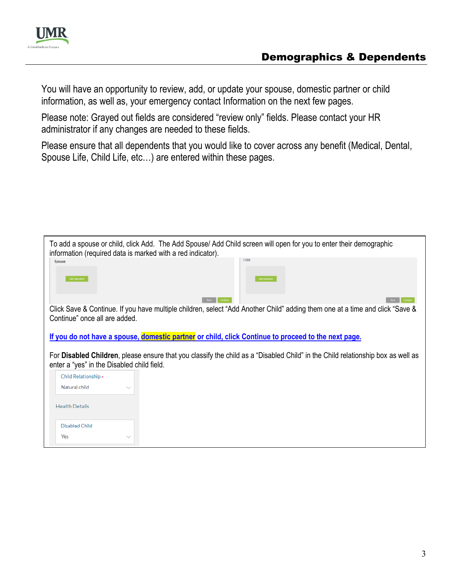

You will have an opportunity to review, add, or update your spouse, domestic partner or child information, as well as, your emergency contact Information on the next few pages.

Please note: Grayed out fields are considered "review only" fields. Please contact your HR administrator if any changes are needed to these fields.

Please ensure that all dependents that you would like to cover across any benefit (Medical, Dental, Spouse Life, Child Life, etc…) are entered within these pages.

| To add a spouse or child, click Add. The Add Spouse/ Add Child screen will open for you to enter their demographic<br>information (required data is marked with a red indicator). |              |                                                                                                                                 |  |  |  |
|-----------------------------------------------------------------------------------------------------------------------------------------------------------------------------------|--------------|---------------------------------------------------------------------------------------------------------------------------------|--|--|--|
| Spouse<br><b>Add Dependent</b>                                                                                                                                                    |              | Child<br><b>Add Dependent</b>                                                                                                   |  |  |  |
|                                                                                                                                                                                   |              | Back Continu                                                                                                                    |  |  |  |
|                                                                                                                                                                                   |              | Click Save & Continue. If you have multiple children, select "Add Another Child" adding them one at a time and click "Save &    |  |  |  |
| Continue" once all are added.                                                                                                                                                     |              |                                                                                                                                 |  |  |  |
|                                                                                                                                                                                   |              |                                                                                                                                 |  |  |  |
|                                                                                                                                                                                   |              | If you do not have a spouse, domestic partner or child, click Continue to proceed to the next page.                             |  |  |  |
|                                                                                                                                                                                   |              |                                                                                                                                 |  |  |  |
| enter a "yes" in the Disabled child field.                                                                                                                                        |              | For Disabled Children, please ensure that you classify the child as a "Disabled Child" in the Child relationship box as well as |  |  |  |
| Child Relationship *                                                                                                                                                              |              |                                                                                                                                 |  |  |  |
| Natural child                                                                                                                                                                     | $\checkmark$ |                                                                                                                                 |  |  |  |
|                                                                                                                                                                                   |              |                                                                                                                                 |  |  |  |
| <b>Health Details</b>                                                                                                                                                             |              |                                                                                                                                 |  |  |  |
|                                                                                                                                                                                   |              |                                                                                                                                 |  |  |  |
| <b>Disabled Child</b>                                                                                                                                                             |              |                                                                                                                                 |  |  |  |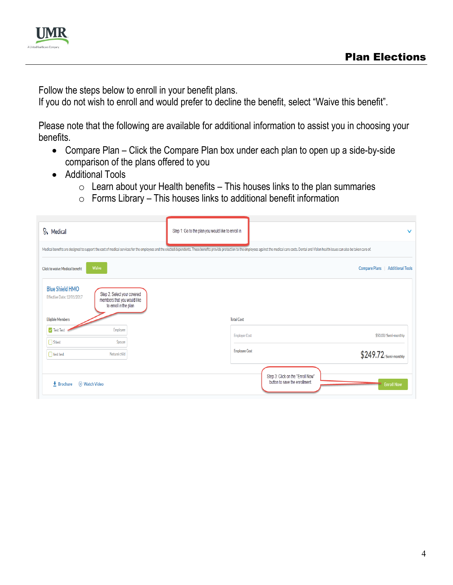

Follow the steps below to enroll in your benefit plans.

If you do not wish to enroll and would prefer to decline the benefit, select "Waive this benefit".

Please note that the following are available for additional information to assist you in choosing your benefits.

- Compare Plan Click the Compare Plan box under each plan to open up a side-by-side comparison of the plans offered to you
- Additional Tools
	- $\circ$  Learn about your Health benefits This houses links to the plan summaries
	- $\circ$  Forms Library This houses links to additional benefit information

| <b>&amp;</b> Medical                                                                                                                                                                                                           | Step 1: Go to the plan you would like to enroll in. | $\vee$                                                                                   |  |  |  |
|--------------------------------------------------------------------------------------------------------------------------------------------------------------------------------------------------------------------------------|-----------------------------------------------------|------------------------------------------------------------------------------------------|--|--|--|
| Medical benefits are designed to support the cost of medical services for the employees and the elected dependents. These benefits provide protection to the employees against the medical care costs. Dental and Vision healt |                                                     |                                                                                          |  |  |  |
| Waive<br>Click to waive Medical benefit                                                                                                                                                                                        |                                                     | <b>Compare Plans</b><br><b>Additional Tools</b>                                          |  |  |  |
| <b>Blue Shield HMO</b><br>Step 2: Select your covered<br>Effective Date: 12/01/2017<br>members that you would like<br>to enroll in the plan                                                                                    |                                                     |                                                                                          |  |  |  |
| <b>Eligible Members</b>                                                                                                                                                                                                        | <b>Total Cost</b>                                   |                                                                                          |  |  |  |
| V Test Test<br>Employee                                                                                                                                                                                                        | <b>Employer Cost</b>                                | \$50.00/Semi-monthly                                                                     |  |  |  |
| $\bigcap$ S test<br>Spouse                                                                                                                                                                                                     |                                                     |                                                                                          |  |  |  |
| Natural child<br>$\Box$ test test                                                                                                                                                                                              | <b>Employee Cost</b>                                | \$249.72/Semi-monthly                                                                    |  |  |  |
| (b) Watch Video<br>$\bigstar$ Brochure                                                                                                                                                                                         |                                                     | Step 3: Click on the "Enroll Now"<br>button to save the enrollment.<br><b>Enroll Now</b> |  |  |  |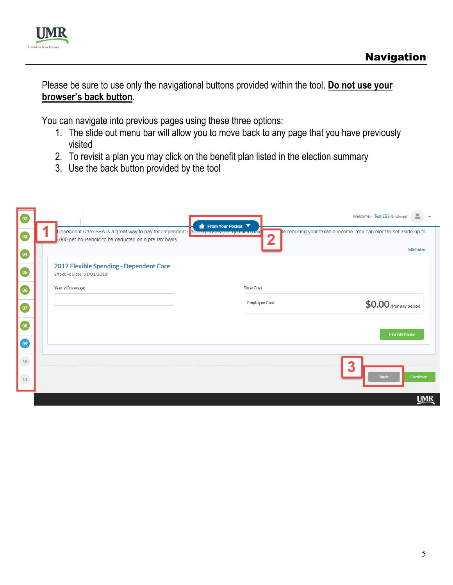

#### Please be sure to use only the navigational buttons provided within the tool. **Do not use your browser's back button**.

You can navigate into previous pages using these three options:

- 1. The slide out menu bar will allow you to move back to any page that you have previously visited
- 2. To revisit a plan you may click on the benefit plan listed in the election summary
- 3. Use the back button provided by the tool

| $\boxed{02}$                 |                                                                                                                                                 | <b>A</b> From Your Pocket                 | Welcome - Test EBS (Employee)                                     |
|------------------------------|-------------------------------------------------------------------------------------------------------------------------------------------------|-------------------------------------------|-------------------------------------------------------------------|
| $\boxed{03}$                 | Dependent Care FSA is a great way to pay for Dependent Care expenses (i.e. qualimed uay<br>000 per household to be deducted on a pre-tax basis. |                                           | le reducing your taxable income. You can elect to set aside up to |
| $\omega$                     |                                                                                                                                                 |                                           | Minimize                                                          |
| 05                           | 2017 Flexible Spending - Dependent Care<br>Effective Date: 01/01/2018                                                                           |                                           |                                                                   |
| $\boxed{06}$                 | <b>Yearly Coverage:</b>                                                                                                                         | <b>Total Cost</b><br><b>Employee Cost</b> | $$0.00$ /Per pay period                                           |
| $\boxed{07}$                 |                                                                                                                                                 |                                           |                                                                   |
| 08                           |                                                                                                                                                 |                                           | <b>Enroll Now</b>                                                 |
| $\boxed{09}$<br>$\boxed{10}$ |                                                                                                                                                 |                                           |                                                                   |
| $\boxed{11}$                 |                                                                                                                                                 |                                           | Back<br>Continue                                                  |
|                              |                                                                                                                                                 |                                           | <b>UMR</b>                                                        |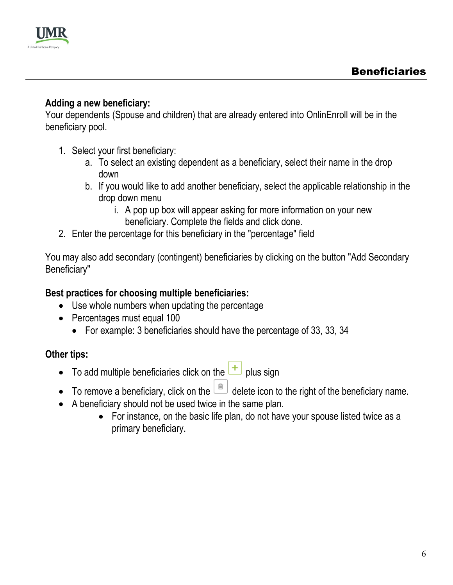

#### **Adding a new beneficiary:**

Your dependents (Spouse and children) that are already entered into OnlinEnroll will be in the beneficiary pool.

- 1. Select your first beneficiary:
	- a. To select an existing dependent as a beneficiary, select their name in the drop down
	- b. If you would like to add another beneficiary, select the applicable relationship in the drop down menu
		- i. A pop up box will appear asking for more information on your new beneficiary. Complete the fields and click done.
- 2. Enter the percentage for this beneficiary in the "percentage" field

You may also add secondary (contingent) beneficiaries by clicking on the button "Add Secondary Beneficiary"

#### **Best practices for choosing multiple beneficiaries:**

- Use whole numbers when updating the percentage
- Percentages must equal 100
	- For example: 3 beneficiaries should have the percentage of 33, 33, 34

#### **Other tips:**

- To add multiple beneficiaries click on the  $\left|+\right|$  plus sign
- To remove a beneficiary, click on the  $\boxed{m}$  delete icon to the right of the beneficiary name.
- A beneficiary should not be used twice in the same plan.
	- For instance, on the basic life plan, do not have your spouse listed twice as a primary beneficiary.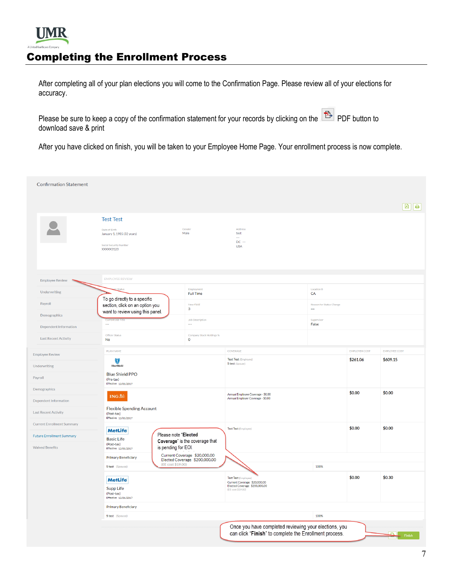

#### Completing the Enrollment Process

After completing all of your plan elections you will come to the Confirmation Page. Please review all of your elections for accuracy.

Please be sure to keep a copy of the confirmation statement for your records by clicking on the PDF button to download save & print

After you have clicked on finish, you will be taken to your Employee Home Page. Your enrollment process is now complete.

| <b>Confirmation Statement</b>                                            |                                                                                                                          |                                                               |                                                                                                                 |                                |               |                         |  |
|--------------------------------------------------------------------------|--------------------------------------------------------------------------------------------------------------------------|---------------------------------------------------------------|-----------------------------------------------------------------------------------------------------------------|--------------------------------|---------------|-------------------------|--|
|                                                                          |                                                                                                                          |                                                               |                                                                                                                 |                                |               | $\boxed{6}$             |  |
|                                                                          | <b>Test Test</b><br>Date of Birth<br>January 1, 1985 (32 years)<br>Social Security Number<br>XXXXX3123                   | Gender<br>Male                                                | Address<br>test<br>Щ,<br>$DC -$<br><b>USA</b>                                                                   |                                |               |                         |  |
| <b>Employee Review</b>                                                   | <b>EMPLOYEE REVIEW</b>                                                                                                   |                                                               |                                                                                                                 |                                |               |                         |  |
| Underwriting                                                             | Status                                                                                                                   | Employment<br><b>Full Time</b>                                | <b>Location B</b><br>CA                                                                                         |                                |               |                         |  |
| Payroll                                                                  | To go directly to a specific<br>section, click on an option you<br>want to review using this panel.                      | New Field<br>3                                                |                                                                                                                 | Reason for Status Change<br>ш. |               |                         |  |
| Demographics<br>Dependent Information                                    | Current Job Title<br>$\sim$                                                                                              | <b>Job Description</b><br>$\sim$                              |                                                                                                                 | Supervisor<br>False            |               |                         |  |
| <b>Last Recent Activity</b>                                              | Officer Status<br><b>No</b>                                                                                              | Company Stock Holdings %<br>$\bullet$                         |                                                                                                                 |                                |               |                         |  |
| <b>Employee Review</b>                                                   | <b>PLAN NAME</b>                                                                                                         |                                                               | COVERAGE                                                                                                        |                                | EMPLOYER COST | <b>EMPLOYEE COST</b>    |  |
| Underwriting                                                             | $\overline{\mathbb{F}}$<br><b>BlueShield</b>                                                                             |                                                               | Test Test (Employee)<br>S test (Spouse)                                                                         |                                | \$261.06      | \$609.15                |  |
| Payroll                                                                  | <b>Blue Shield PPO</b><br>(Pre-tax)<br>Effective 12/01/2017                                                              |                                                               |                                                                                                                 |                                |               |                         |  |
| Demographics                                                             | <b>ING</b> ‰                                                                                                             |                                                               | Annual Employee Coverage - \$0.00<br>Annual Employer Coverage - \$0.00                                          |                                | \$0.00        | \$0.00                  |  |
| <b>Dependent Information</b><br><b>Last Recent Activity</b>              | <b>Flexible Spending Account</b><br>(Post-tax)                                                                           |                                                               |                                                                                                                 |                                |               |                         |  |
| <b>Current Enrollment Summary</b>                                        | Effective 12/01/2017                                                                                                     |                                                               |                                                                                                                 |                                |               |                         |  |
| <b>Future Enrollment Summary</b><br><b>Waived Benefits</b>               | <b>MetLife</b><br>Please note "Elected<br><b>Basic Life</b><br>(Post-tax)<br>is pending for EOI.<br>Effective 12/01/2017 | Coverage" is the coverage that                                | <b>Test Test (Employee)</b>                                                                                     |                                | \$0.00        | \$0.00                  |  |
|                                                                          | <b>Primary Beneficiary</b><br>(EE cost \$19.00)<br>Stest (Spouse)                                                        | Current Coverage \$20,000.00<br>Elected Coverage \$200,000.00 |                                                                                                                 | 100%                           |               |                         |  |
| <b>MetLife</b><br><b>Supp Life</b><br>(Post-tax)<br>Effective 12/01/2017 |                                                                                                                          |                                                               | <b>Test Test (Employee)</b>                                                                                     |                                | \$0.00        | \$0.30                  |  |
|                                                                          |                                                                                                                          |                                                               | Current Coverage \$20,000.00<br>Elected Coverage \$200,000.00<br>(EE cost \$19.00)                              |                                |               |                         |  |
|                                                                          | <b>Primary Beneficiary</b>                                                                                               |                                                               |                                                                                                                 |                                |               |                         |  |
|                                                                          | Stest (Spouse)                                                                                                           |                                                               |                                                                                                                 | 100%                           |               |                         |  |
|                                                                          |                                                                                                                          |                                                               | Once you have completed reviewing your elections, you<br>can click "Finish" to complete the Enrollment process. |                                |               | <b>Expertise</b> Finish |  |